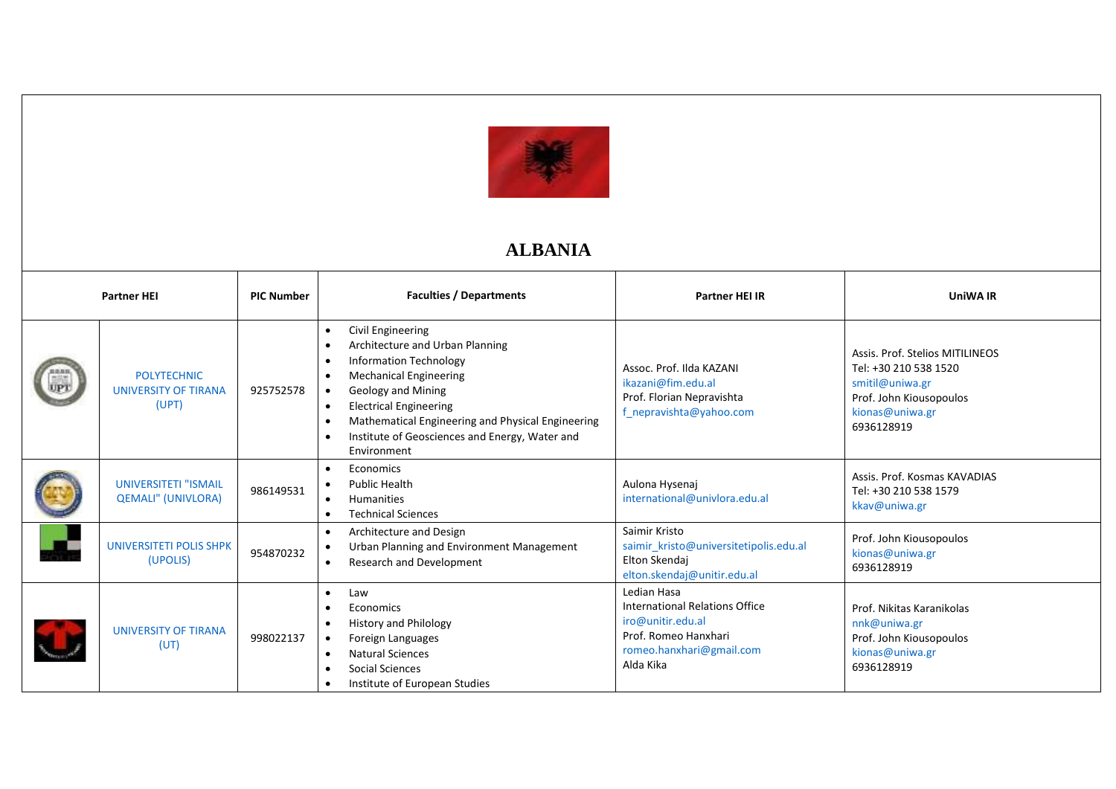

## **ALBANIA**

| <b>Partner HEI</b> |                                                            | <b>PIC Number</b> | <b>Faculties / Departments</b>                                                                                                                                                                                                                                                                             | <b>Partner HEI IR</b>                                                                                                               | <b>UniWA IR</b>                                                                                                                         |
|--------------------|------------------------------------------------------------|-------------------|------------------------------------------------------------------------------------------------------------------------------------------------------------------------------------------------------------------------------------------------------------------------------------------------------------|-------------------------------------------------------------------------------------------------------------------------------------|-----------------------------------------------------------------------------------------------------------------------------------------|
|                    | <b>POLYTECHNIC</b><br><b>UNIVERSITY OF TIRANA</b><br>(UPT) | 925752578         | Civil Engineering<br>Architecture and Urban Planning<br><b>Information Technology</b><br><b>Mechanical Engineering</b><br><b>Geology and Mining</b><br><b>Electrical Engineering</b><br>Mathematical Engineering and Physical Engineering<br>Institute of Geosciences and Energy, Water and<br>Environment | Assoc. Prof. Ilda KAZANI<br>ikazani@fim.edu.al<br>Prof. Florian Nepravishta<br>f_nepravishta@yahoo.com                              | Assis, Prof. Stelios MITILINEOS<br>Tel: +30 210 538 1520<br>smitil@uniwa.gr<br>Prof. John Kiousopoulos<br>kionas@uniwa.gr<br>6936128919 |
|                    | <b>UNIVERSITETI "ISMAIL</b><br><b>QEMALI" (UNIVLORA)</b>   | 986149531         | Economics<br><b>Public Health</b><br><b>Humanities</b><br><b>Technical Sciences</b>                                                                                                                                                                                                                        | Aulona Hysenaj<br>international@univlora.edu.al                                                                                     | Assis, Prof. Kosmas KAVADIAS<br>Tel: +30 210 538 1579<br>kkav@uniwa.gr                                                                  |
|                    | <b>UNIVERSITETI POLIS SHPK</b><br>(UPOLIS)                 | 954870232         | Architecture and Design<br>$\bullet$<br>Urban Planning and Environment Management<br>Research and Development                                                                                                                                                                                              | Saimir Kristo<br>saimir_kristo@universitetipolis.edu.al<br>Elton Skendaj<br>elton.skendaj@unitir.edu.al                             | Prof. John Kiousopoulos<br>kionas@uniwa.gr<br>6936128919                                                                                |
|                    | <b>UNIVERSITY OF TIRANA</b><br>(UT)                        | 998022137         | Law<br>$\bullet$<br>Economics<br><b>History and Philology</b><br>Foreign Languages<br><b>Natural Sciences</b><br>Social Sciences<br>Institute of European Studies                                                                                                                                          | Ledian Hasa<br>International Relations Office<br>iro@unitir.edu.al<br>Prof. Romeo Hanxhari<br>romeo.hanxhari@gmail.com<br>Alda Kika | Prof. Nikitas Karanikolas<br>nnk@uniwa.gr<br>Prof. John Kiousopoulos<br>kionas@uniwa.gr<br>6936128919                                   |